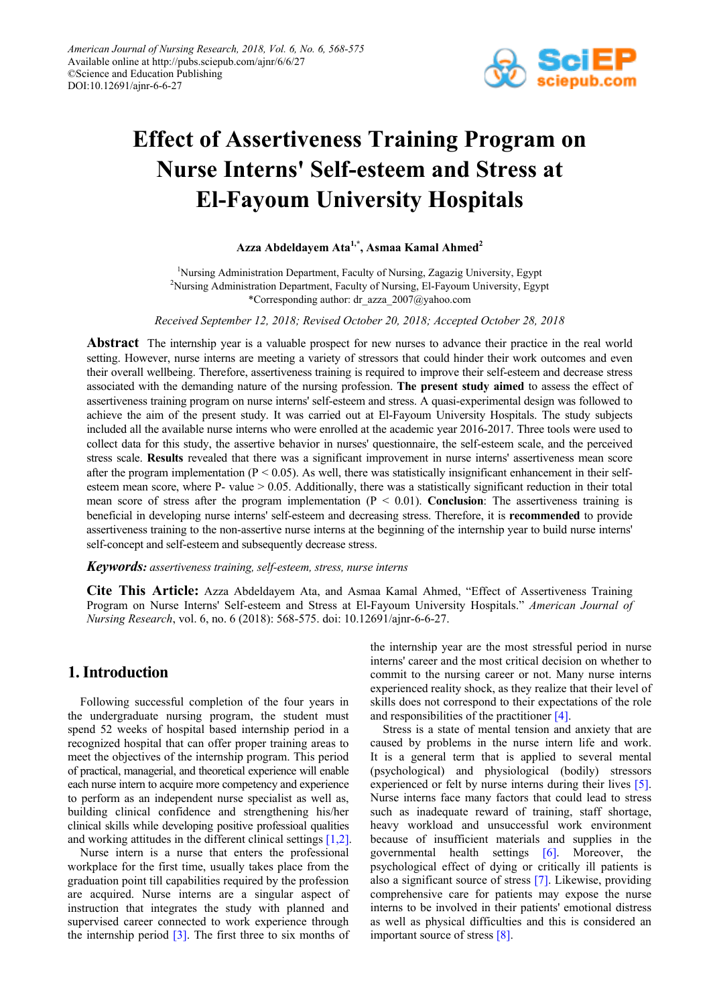

# **Effect of Assertiveness Training Program on Nurse Interns' Self-esteem and Stress at El-Fayoum University Hospitals**

**Azza Abdeldayem Ata1,\*, Asmaa Kamal Ahmed<sup>2</sup>**

<sup>1</sup>Nursing Administration Department, Faculty of Nursing, Zagazig University, Egypt <sup>2</sup>Nursing Administration Department, Faculty of Nursing, El-Fayoum University, Egypt \*Corresponding author: dr\_azza\_2007@yahoo.com

*Received September 12, 2018; Revised October 20, 2018; Accepted October 28, 2018*

**Abstract** The internship year is a valuable prospect for new nurses to advance their practice in the real world setting. However, nurse interns are meeting a variety of stressors that could hinder their work outcomes and even their overall wellbeing. Therefore, assertiveness training is required to improve their self-esteem and decrease stress associated with the demanding nature of the nursing profession. **The present study aimed** to assess the effect of assertiveness training program on nurse interns' self-esteem and stress. A quasi-experimental design was followed to achieve the aim of the present study. It was carried out at El-Fayoum University Hospitals. The study subjects included all the available nurse interns who were enrolled at the academic year 2016-2017. Three tools were used to collect data for this study, the assertive behavior in nurses' questionnaire, the self-esteem scale, and the perceived stress scale. **Results** revealed that there was a significant improvement in nurse interns' assertiveness mean score after the program implementation ( $P \le 0.05$ ). As well, there was statistically insignificant enhancement in their selfesteem mean score, where P- value  $> 0.05$ . Additionally, there was a statistically significant reduction in their total mean score of stress after the program implementation  $(P < 0.01)$ . **Conclusion**: The assertiveness training is beneficial in developing nurse interns' self-esteem and decreasing stress. Therefore, it is **recommended** to provide assertiveness training to the non-assertive nurse interns at the beginning of the internship year to build nurse interns' self-concept and self-esteem and subsequently decrease stress.

*Keywords: assertiveness training, self-esteem, stress, nurse interns*

**Cite This Article:** Azza Abdeldayem Ata, and Asmaa Kamal Ahmed, "Effect of Assertiveness Training Program on Nurse Interns' Self-esteem and Stress at El-Fayoum University Hospitals." *American Journal of Nursing Research*, vol. 6, no. 6 (2018): 568-575. doi: 10.12691/ajnr-6-6-27.

# **1. Introduction**

Following successful completion of the four years in the undergraduate nursing program, the student must spend 52 weeks of hospital based internship period in a recognized hospital that can offer proper training areas to meet the objectives of the internship program. This period of practical, managerial, and theoretical experience will enable each nurse intern to acquire more competency and experience to perform as an independent nurse specialist as well as, building clinical confidence and strengthening his/her clinical skills while developing positive professioal qualities and working attitudes in the different clinical settings [\[1,2\].](#page-7-0)

Nurse intern is a nurse that enters the professional workplace for the first time, usually takes place from the graduation point till capabilities required by the profession are acquired. Nurse interns are a singular aspect of instruction that integrates the study with planned and supervised career connected to work experience through the internship period  $[3]$ . The first three to six months of the internship year are the most stressful period in nurse interns' career and the most critical decision on whether to commit to the nursing career or not. Many nurse interns experienced reality shock, as they realize that their level of skills does not correspond to their expectations of the role and responsibilities of the practitioner [\[4\].](#page-7-2)

Stress is a state of mental tension and anxiety that are caused by problems in the nurse intern life and work. It is a general term that is applied to several mental (psychological) and physiological (bodily) stressors experienced or felt by nurse interns during their lives [\[5\].](#page-7-3) Nurse interns face many factors that could lead to stress such as inadequate reward of training, staff shortage, heavy workload and unsuccessful work environment because of insufficient materials and supplies in the governmental health settings [\[6\].](#page-7-4) Moreover, the psychological effect of dying or critically ill patients is also a significant source of stress [\[7\].](#page-7-5) Likewise, providing comprehensive care for patients may expose the nurse interns to be involved in their patients' emotional distress as well as physical difficulties and this is considered an important source of stress [\[8\].](#page-7-6)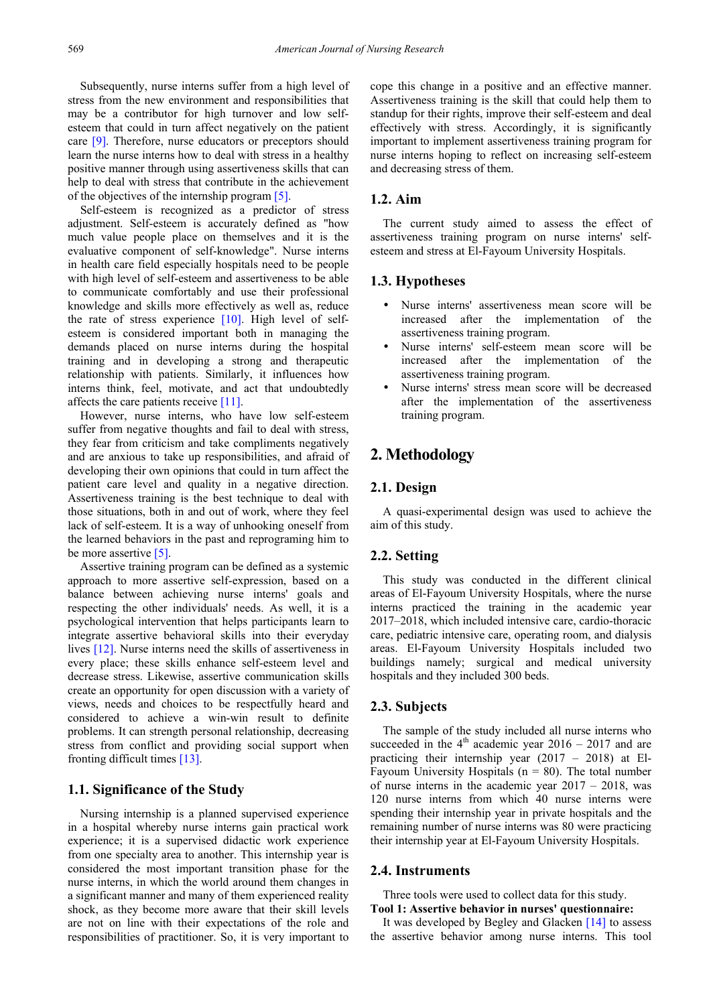Subsequently, nurse interns suffer from a high level of stress from the new environment and responsibilities that may be a contributor for high turnover and low selfesteem that could in turn affect negatively on the patient care [\[9\].](#page-7-7) Therefore, nurse educators or preceptors should learn the nurse interns how to deal with stress in a healthy positive manner through using assertiveness skills that can help to deal with stress that contribute in the achievement of the objectives of the internship progra[m \[5\].](#page-7-3)

Self-esteem is recognized as a predictor of stress adjustment. Self-esteem is accurately defined as "how much value people place on themselves and it is the evaluative component of self-knowledge". Nurse interns in health care field especially hospitals need to be people with high level of self-esteem and assertiveness to be able to communicate comfortably and use their professional knowledge and skills more effectively as well as, reduce the rate of stress experience  $[10]$ . High level of selfesteem is considered important both in managing the demands placed on nurse interns during the hospital training and in developing a strong and therapeutic relationship with patients. Similarly, it influences how interns think, feel, motivate, and act that undoubtedly affects the care patients receiv[e \[11\].](#page-7-9) 

However, nurse interns, who have low self-esteem suffer from negative thoughts and fail to deal with stress, they fear from criticism and take compliments negatively and are anxious to take up responsibilities, and afraid of developing their own opinions that could in turn affect the patient care level and quality in a negative direction. Assertiveness training is the best technique to deal with those situations, both in and out of work, where they feel lack of self-esteem. It is a way of unhooking oneself from the learned behaviors in the past and reprograming him to be more assertive [\[5\].](#page-7-3)

Assertive training program can be defined as a systemic approach to more assertive self-expression, based on a balance between achieving nurse interns' goals and respecting the other individuals' needs. As well, it is a psychological intervention that helps participants learn to integrate assertive behavioral skills into their everyday lives [\[12\].](#page-7-10) Nurse interns need the skills of assertiveness in every place; these skills enhance self-esteem level and decrease stress. Likewise, assertive communication skills create an opportunity for open discussion with a variety of views, needs and choices to be respectfully heard and considered to achieve a win-win result to definite problems. It can strength personal relationship, decreasing stress from conflict and providing social support when fronting difficult times [\[13\].](#page-7-11)

### **1.1. Significance of the Study**

Nursing internship is a planned supervised experience in a hospital whereby nurse interns gain practical work experience; it is a supervised didactic work experience from one specialty area to another. This internship year is considered the most important transition phase for the nurse interns, in which the world around them changes in a significant manner and many of them experienced reality shock, as they become more aware that their skill levels are not on line with their expectations of the role and responsibilities of practitioner. So, it is very important to

cope this change in a positive and an effective manner. Assertiveness training is the skill that could help them to standup for their rights, improve their self-esteem and deal effectively with stress. Accordingly, it is significantly important to implement assertiveness training program for nurse interns hoping to reflect on increasing self-esteem and decreasing stress of them.

# **1.2. Aim**

The current study aimed to assess the effect of assertiveness training program on nurse interns' selfesteem and stress at El-Fayoum University Hospitals.

### **1.3. Hypotheses**

- Nurse interns' assertiveness mean score will be increased after the implementation of the assertiveness training program.
- Nurse interns' self-esteem mean score will be increased after the implementation of the assertiveness training program.
- Nurse interns' stress mean score will be decreased after the implementation of the assertiveness training program.

# **2. Methodology**

### **2.1. Design**

A quasi-experimental design was used to achieve the aim of this study.

### **2.2. Setting**

This study was conducted in the different clinical areas of El-Fayoum University Hospitals, where the nurse interns practiced the training in the academic year 2017–2018, which included intensive care, cardio-thoracic care, pediatric intensive care, operating room, and dialysis areas. El-Fayoum University Hospitals included two buildings namely; surgical and medical university hospitals and they included 300 beds.

### **2.3. Subjects**

The sample of the study included all nurse interns who succeeded in the  $4<sup>th</sup>$  academic year 2016 – 2017 and are practicing their internship year (2017 – 2018) at El-Fayoum University Hospitals ( $n = 80$ ). The total number of nurse interns in the academic year 2017 – 2018, was 120 nurse interns from which 40 nurse interns were spending their internship year in private hospitals and the remaining number of nurse interns was 80 were practicing their internship year at El-Fayoum University Hospitals.

### **2.4. Instruments**

Three tools were used to collect data for this study. **Tool 1: Assertive behavior in nurses' questionnaire:** 

It was developed by Begley and Glacken [\[14\]](#page-7-12) to assess the assertive behavior among nurse interns. This tool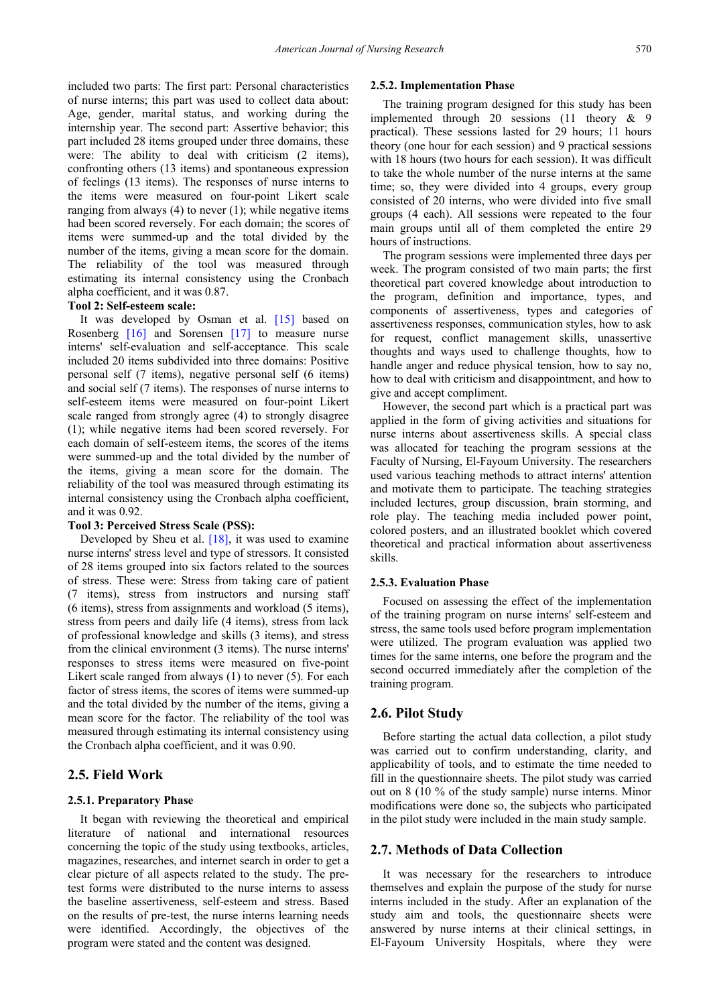included two parts: The first part: Personal characteristics of nurse interns; this part was used to collect data about: Age, gender, marital status, and working during the internship year. The second part: Assertive behavior; this part included 28 items grouped under three domains, these were: The ability to deal with criticism (2 items), confronting others (13 items) and spontaneous expression of feelings (13 items). The responses of nurse interns to the items were measured on four-point Likert scale ranging from always  $(4)$  to never  $(1)$ ; while negative items had been scored reversely. For each domain; the scores of items were summed-up and the total divided by the number of the items, giving a mean score for the domain. The reliability of the tool was measured through estimating its internal consistency using the Cronbach alpha coefficient, and it was 0.87.

## **Tool 2: Self-esteem scale:**

It was developed by Osman et al. [\[15\]](#page-7-13) based on Rosenberg [\[16\]](#page-7-14) and Sorensen [\[17\]](#page-7-15) to measure nurse interns' self-evaluation and self-acceptance. This scale included 20 items subdivided into three domains: Positive personal self (7 items), negative personal self (6 items) and social self (7 items). The responses of nurse interns to self-esteem items were measured on four-point Likert scale ranged from strongly agree (4) to strongly disagree (1); while negative items had been scored reversely. For each domain of self-esteem items, the scores of the items were summed-up and the total divided by the number of the items, giving a mean score for the domain. The reliability of the tool was measured through estimating its internal consistency using the Cronbach alpha coefficient, and it was 0.92.

### **Tool 3: Perceived Stress Scale (PSS):**

Developed by Sheu et al.  $[18]$ , it was used to examine nurse interns' stress level and type of stressors. It consisted of 28 items grouped into six factors related to the sources of stress. These were: Stress from taking care of patient (7 items), stress from instructors and nursing staff (6 items), stress from assignments and workload (5 items), stress from peers and daily life (4 items), stress from lack of professional knowledge and skills (3 items), and stress from the clinical environment (3 items). The nurse interns' responses to stress items were measured on five-point Likert scale ranged from always (1) to never (5). For each factor of stress items, the scores of items were summed-up and the total divided by the number of the items, giving a mean score for the factor. The reliability of the tool was measured through estimating its internal consistency using the Cronbach alpha coefficient, and it was 0.90.

## **2.5. Field Work**

### **2.5.1. Preparatory Phase**

It began with reviewing the theoretical and empirical literature of national and international resources concerning the topic of the study using textbooks, articles, magazines, researches, and internet search in order to get a clear picture of all aspects related to the study. The pretest forms were distributed to the nurse interns to assess the baseline assertiveness, self-esteem and stress. Based on the results of pre-test, the nurse interns learning needs were identified. Accordingly, the objectives of the program were stated and the content was designed.

#### **2.5.2. Implementation Phase**

The training program designed for this study has been implemented through 20 sessions (11 theory & 9 practical). These sessions lasted for 29 hours; 11 hours theory (one hour for each session) and 9 practical sessions with 18 hours (two hours for each session). It was difficult to take the whole number of the nurse interns at the same time; so, they were divided into 4 groups, every group consisted of 20 interns, who were divided into five small groups (4 each). All sessions were repeated to the four main groups until all of them completed the entire 29 hours of instructions.

The program sessions were implemented three days per week. The program consisted of two main parts; the first theoretical part covered knowledge about introduction to the program, definition and importance, types, and components of assertiveness, types and categories of assertiveness responses, communication styles, how to ask for request, conflict management skills, unassertive thoughts and ways used to challenge thoughts, how to handle anger and reduce physical tension, how to say no, how to deal with criticism and disappointment, and how to give and accept compliment.

However, the second part which is a practical part was applied in the form of giving activities and situations for nurse interns about assertiveness skills. A special class was allocated for teaching the program sessions at the Faculty of Nursing, El-Fayoum University. The researchers used various teaching methods to attract interns' attention and motivate them to participate. The teaching strategies included lectures, group discussion, brain storming, and role play. The teaching media included power point, colored posters, and an illustrated booklet which covered theoretical and practical information about assertiveness skills.

#### **2.5.3. Evaluation Phase**

Focused on assessing the effect of the implementation of the training program on nurse interns' self-esteem and stress, the same tools used before program implementation were utilized. The program evaluation was applied two times for the same interns, one before the program and the second occurred immediately after the completion of the training program.

### **2.6. Pilot Study**

Before starting the actual data collection, a pilot study was carried out to confirm understanding, clarity, and applicability of tools, and to estimate the time needed to fill in the questionnaire sheets. The pilot study was carried out on 8 (10 % of the study sample) nurse interns. Minor modifications were done so, the subjects who participated in the pilot study were included in the main study sample.

#### **2.7. Methods of Data Collection**

It was necessary for the researchers to introduce themselves and explain the purpose of the study for nurse interns included in the study. After an explanation of the study aim and tools, the questionnaire sheets were answered by nurse interns at their clinical settings, in El-Fayoum University Hospitals, where they were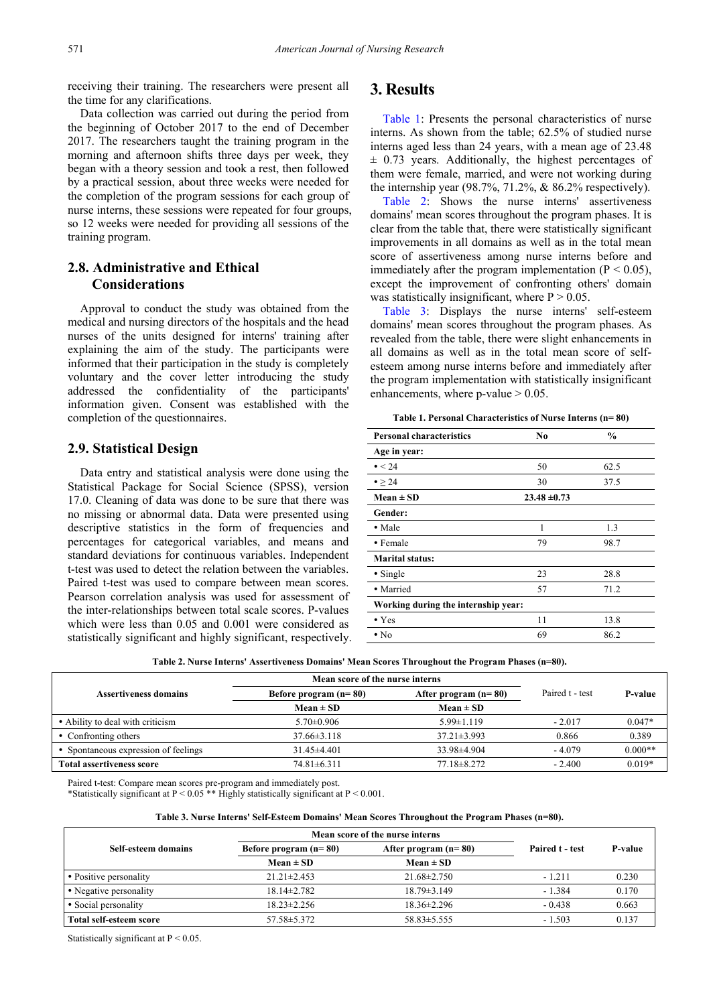receiving their training. The researchers were present all the time for any clarifications.

Data collection was carried out during the period from the beginning of October 2017 to the end of December 2017. The researchers taught the training program in the morning and afternoon shifts three days per week, they began with a theory session and took a rest, then followed by a practical session, about three weeks were needed for the completion of the program sessions for each group of nurse interns, these sessions were repeated for four groups, so 12 weeks were needed for providing all sessions of the training program.

# **2.8. Administrative and Ethical Considerations**

Approval to conduct the study was obtained from the medical and nursing directors of the hospitals and the head nurses of the units designed for interns' training after explaining the aim of the study. The participants were informed that their participation in the study is completely voluntary and the cover letter introducing the study addressed the confidentiality of the participants' information given. Consent was established with the completion of the questionnaires.

# **2.9. Statistical Design**

Data entry and statistical analysis were done using the Statistical Package for Social Science (SPSS), version 17.0. Cleaning of data was done to be sure that there was no missing or abnormal data. Data were presented using descriptive statistics in the form of frequencies and percentages for categorical variables, and means and standard deviations for continuous variables. Independent t-test was used to detect the relation between the variables. Paired t-test was used to compare between mean scores. Pearson correlation analysis was used for assessment of the inter-relationships between total scale scores. P-values which were less than 0.05 and 0.001 were considered as statistically significant and highly significant, respectively.

# **3. Results**

[Table 1:](#page-3-0) Presents the personal characteristics of nurse interns. As shown from the table; 62.5% of studied nurse interns aged less than 24 years, with a mean age of 23.48  $\pm$  0.73 years. Additionally, the highest percentages of them were female, married, and were not working during the internship year  $(98.7\%, 71.2\%, \& 86.2\%$  respectively).

[Table 2:](#page-3-1) Shows the nurse interns' assertiveness domains' mean scores throughout the program phases. It is clear from the table that, there were statistically significant improvements in all domains as well as in the total mean score of assertiveness among nurse interns before and immediately after the program implementation ( $P < 0.05$ ), except the improvement of confronting others' domain was statistically insignificant, where  $P > 0.05$ .

[Table 3:](#page-3-2) Displays the nurse interns' self-esteem domains' mean scores throughout the program phases. As revealed from the table, there were slight enhancements in all domains as well as in the total mean score of selfesteem among nurse interns before and immediately after the program implementation with statistically insignificant enhancements, where  $p$ -value  $> 0.05$ .

**Table 1. Personal Characteristics of Nurse Interns (n= 80)**

<span id="page-3-0"></span>

| <b>Personal characteristics</b>     | No               | $\frac{0}{0}$ |
|-------------------------------------|------------------|---------------|
| Age in year:                        |                  |               |
| $\bullet$ < 24                      | 50               | 62.5          |
| $\bullet$ > 24                      | 30               | 37.5          |
| $Mean \pm SD$                       | $23.48 \pm 0.73$ |               |
| Gender:                             |                  |               |
| • Male                              | 1                | 1.3           |
| • Female                            | 79               | 98.7          |
| <b>Marital status:</b>              |                  |               |
| $\bullet$ Single                    | 23               | 28.8          |
| • Married                           | 57               | 71.2          |
| Working during the internship year: |                  |               |
| $\bullet$ Yes                       | 11               | 13.8          |
| $\cdot$ No                          | 69               | 86.2          |

| Table 2. Nurse Interns' Assertiveness Domains' Mean Scores Throughout the Program Phases (n=80). |  |  |  |  |  |  |  |  |
|--------------------------------------------------------------------------------------------------|--|--|--|--|--|--|--|--|
|--------------------------------------------------------------------------------------------------|--|--|--|--|--|--|--|--|

<span id="page-3-1"></span>

|                                      | Mean score of the nurse interns |                        |                 |           |
|--------------------------------------|---------------------------------|------------------------|-----------------|-----------|
| <b>Assertiveness domains</b>         | Before program $(n=80)$         | After program $(n=80)$ | Paired t - test | P-value   |
|                                      | $Mean \pm SD$                   | $Mean \pm SD$          |                 |           |
| • Ability to deal with criticism     | $5.70 \pm 0.906$                | $5.99 \pm 1.119$       | $-2.017$        | $0.047*$  |
| • Confronting others                 | $37.66 \pm 3.118$               | $37.21 \pm 3.993$      | 0.866           | 0.389     |
| • Spontaneous expression of feelings | $31.45\pm4.401$                 | $33.98\pm4.904$        | $-4.079$        | $0.000**$ |
| <b>Total assertiveness score</b>     | $74.81 \pm 6.311$               | $77.18 \pm 8.272$      | $-2.400$        | $0.019*$  |

Paired t-test: Compare mean scores pre-program and immediately post. \*Statistically significant at  $P < 0.05$  \*\* Highly statistically significant at  $P < 0.001$ .

#### **Table 3. Nurse Interns' Self-Esteem Domains' Mean Scores Throughout the Program Phases (n=80).**

<span id="page-3-2"></span>

|                         | Mean score of the nurse interns |                        |                 |         |
|-------------------------|---------------------------------|------------------------|-----------------|---------|
| Self-esteem domains     | Before program $(n=80)$         | After program $(n=80)$ | Paired t - test | P-value |
|                         | Mean $\pm$ SD                   | Mean $\pm$ SD          |                 |         |
| • Positive personality  | $21.21 \pm 2.453$               | $21.68 \pm 2.750$      | $-1.211$        | 0.230   |
| • Negative personality  | $18.14 \pm 2.782$               | $18.79 \pm 3.149$      | $-1.384$        | 0.170   |
| • Social personality    | $18.23 \pm 2.256$               | $18.36 \pm 2.296$      | $-0.438$        | 0.663   |
| Total self-esteem score | $57.58 \pm 5.372$               | $58.83 \pm 5.555$      | $-1.503$        | 0.137   |

Statistically significant at P < 0.05.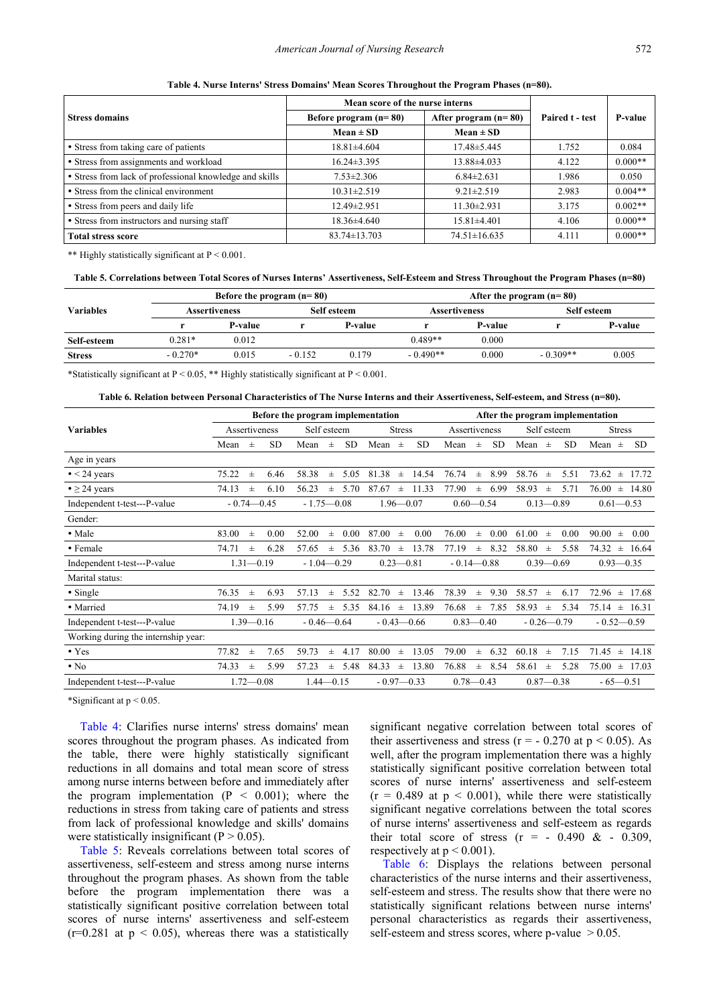<span id="page-4-0"></span>

|                                                         | Mean score of the nurse interns |                        |                 |           |  |
|---------------------------------------------------------|---------------------------------|------------------------|-----------------|-----------|--|
| <b>Stress domains</b>                                   | Before program $(n=80)$         | After program $(n=80)$ | Paired t - test | P-value   |  |
|                                                         | $Mean \pm SD$                   | $Mean \pm SD$          |                 |           |  |
| • Stress from taking care of patients                   | $18.81 \pm 4.604$               | 17.48 ± 5.445          | 1.752           | 0.084     |  |
| • Stress from assignments and workload                  | $16.24 \pm 3.395$               | 13.88±4.033            | 4.122           | $0.000**$ |  |
| • Stress from lack of professional knowledge and skills | $7.53 \pm 2.306$                | $6.84 \pm 2.631$       | 1.986           | 0.050     |  |
| • Stress from the clinical environment                  | $10.31 \pm 2.519$               | $9.21 \pm 2.519$       | 2.983           | $0.004**$ |  |
| • Stress from peers and daily life                      | 12.49±2.951                     | $11.30 \pm 2.931$      | 3.175           | $0.002**$ |  |
| • Stress from instructors and nursing staff             | $18.36\pm4.640$                 | $15.81 \pm 4.401$      | 4.106           | $0.000**$ |  |
| <b>Total stress score</b>                               | $83.74 \pm 13.703$              | $74.51 \pm 16.635$     | 4.111           | $0.000**$ |  |

**Table 4. Nurse Interns' Stress Domains' Mean Scores Throughout the Program Phases (n=80).**

\*\* Highly statistically significant at P < 0.001.

**Table 5. Correlations between Total Scores of Nurses Interns' Assertiveness, Self-Esteem and Stress Throughout the Program Phases (n=80)**

<span id="page-4-1"></span>

|                  |           | Before the program $(n=80)$ |          |             | After the program $(n=80)$ |                |             |         |  |  |  |  |
|------------------|-----------|-----------------------------|----------|-------------|----------------------------|----------------|-------------|---------|--|--|--|--|
| <b>Variables</b> |           | <b>Assertiveness</b>        |          | Self esteem | <b>Assertiveness</b>       |                | Self esteem |         |  |  |  |  |
|                  |           | P-value                     |          | P-value     |                            | <b>P-value</b> |             | P-value |  |  |  |  |
| Self-esteem      | $0.281*$  | 0.012                       |          |             | $0.489**$                  | 0.000          |             |         |  |  |  |  |
| <b>Stress</b>    | $-0.270*$ | 0.015                       | $-0.152$ | 0.179       | 0.000<br>$-0.490**$        |                | $-0.309**$  | 0.005   |  |  |  |  |
|                  |           |                             |          |             |                            |                |             |         |  |  |  |  |

\*Statistically significant at P < 0.05, \*\* Highly statistically significant at P < 0.001.

**Table 6. Relation between Personal Characteristics of The Nurse Interns and their Assertiveness, Self-esteem, and Stress (n=80).**

<span id="page-4-2"></span>

|                                     | Before the program implementation |               |                |                |               |               |               |                | After the program implementation |               |               |             |               |               |                |                |       |           |
|-------------------------------------|-----------------------------------|---------------|----------------|----------------|---------------|---------------|---------------|----------------|----------------------------------|---------------|---------------|-------------|---------------|---------------|----------------|----------------|-------|-----------|
| <b>Variables</b>                    | Assertiveness                     |               |                | Self esteem    |               |               | <b>Stress</b> |                | Assertiveness                    |               |               | Self esteem |               |               |                | <b>Stress</b>  |       |           |
|                                     | Mean                              | $\pm$         | <b>SD</b>      | Mean           | $\pm$         | SD.           | Mean          | $\pm$          | SD.                              | Mean          | $\pm$         | <b>SD</b>   | Mean          | $\pm$         | <b>SD</b>      | Mean           | $\pm$ | <b>SD</b> |
| Age in years                        |                                   |               |                |                |               |               |               |                |                                  |               |               |             |               |               |                |                |       |           |
| $\bullet$ < 24 years                | 75.22                             | $\pm$         | 6.46           | 58.38          | $\pm$         | 5.05          | 81.38         | $\pm$          | 14.54                            | 76.74         | $\pm$         | 8.99        | 58.76         | $\pm$         | 5.51           | 73.62          | $\pm$ | 17.72     |
| $\bullet \geq 24$ years             | 74.13                             | $\pm$         | 6.10           | 56.23          | $\pm$         | 5.70          | 87.67         | $\pm$          | 11.33                            | 77.90         | $_{\pm}$      | 6.99        | 58.93         | $\pm$         | 5.71           | 76.00          | $\pm$ | 14.80     |
| Independent t-test---P-value        | $-0.74 - 0.45$                    |               | $-1.75 - 0.08$ |                | $1.96 - 0.07$ |               | $0.60 - 0.54$ |                |                                  |               | $0.13 - 0.89$ |             | $0.61 - 0.53$ |               |                |                |       |           |
| Gender:                             |                                   |               |                |                |               |               |               |                |                                  |               |               |             |               |               |                |                |       |           |
| • Male                              | 83.00                             | $\pm$         | 0.00           | 52.00          | $\pm$         | 0.00          | 87.00         | $\pm$          | 0.00                             | 76.00         | $\pm$         | 0.00        | 61.00         | $\pm$         | 0.00           | 90.00          | $\pm$ | 0.00      |
| • Female                            | 74.71                             | $_{\pm}$      | 6.28           | 57.65          | $\pm$         | 5.36          | 83.70         | $\pm$          | 13.78                            | 77.19         | $_{\pm}$      | 8.32        | 58.80         | $_{\pm}$      | 5.58           | 74.32          | $\pm$ | 16.64     |
| Independent t-test---P-value        |                                   | $1.31 - 0.19$ |                | $-1.04 - 0.29$ |               | $0.23 - 0.81$ |               | $-0.14 - 0.88$ |                                  |               | $0.39 - 0.69$ |             | $0.93 - 0.35$ |               |                |                |       |           |
| Marital status:                     |                                   |               |                |                |               |               |               |                |                                  |               |               |             |               |               |                |                |       |           |
| • Single                            | 76.35                             | $_{\pm}$      | 6.93           | 57.13          | $^{\pm}$      | 5.52          | 82.70         | $\pm$          | 13.46                            | 78.39         | $_{\pm}$      | 9.30        | 58.57         | 士             | 6.17           | 72.96          | $\pm$ | 17.68     |
| • Married                           | 74.19                             | $_{\pm}$      | 5.99           | 57.75          | $\pm$         | 5.35          | 84.16         | $\pm$          | 13.89                            | 76.68         | $_{\pm}$      | 7.85        | 58.93         | $\pm$         | 5.34           | 75.14          | $\pm$ | 16.31     |
| Independent t-test---P-value        |                                   | $1.39 - 0.16$ |                | $-0.46 - 0.64$ |               |               |               |                | $-0.43 - 0.66$                   | $0.83 - 0.40$ |               |             |               |               | $-0.26 - 0.79$ | $-0.52 - 0.59$ |       |           |
| Working during the internship year: |                                   |               |                |                |               |               |               |                |                                  |               |               |             |               |               |                |                |       |           |
| $\bullet$ Yes                       | 77.82                             | $_{\pm}$      | 7.65           | 59.73          | $\pm$         | 4.17          | 80.00         | $\pm$          | 13.05                            | 79.00         | $\pm$         | 6.32        | 60.18         | $_{\pm}$      | 7.15           | 71.45          | $\pm$ | 14.18     |
| $\cdot$ No                          | 74.33                             | $\pm$         | 5.99           | 57.23          | $\pm$         | 5.48          | 84.33         | $\pm$          | 13.80                            | 76.88         | $_{\pm}$      | 8.54        | 58.61         | $_{\pm}$      | 5.28           | 75.00          | $\pm$ | 17.03     |
| Independent t-test---P-value        |                                   | $1.72 - 0.08$ |                | $1.44 - 0.15$  |               |               |               |                | $-0.97 - 0.33$                   | $0.78 - 0.43$ |               |             |               | $0.87 - 0.38$ |                | $-65 - 0.51$   |       |           |

\*Significant at p < 0.05.

[Table 4:](#page-4-0) Clarifies nurse interns' stress domains' mean scores throughout the program phases. As indicated from the table, there were highly statistically significant reductions in all domains and total mean score of stress among nurse interns between before and immediately after the program implementation  $(P < 0.001)$ ; where the reductions in stress from taking care of patients and stress from lack of professional knowledge and skills' domains were statistically insignificant  $(P > 0.05)$ .

[Table 5:](#page-4-1) Reveals correlations between total scores of assertiveness, self-esteem and stress among nurse interns throughout the program phases. As shown from the table before the program implementation there was a statistically significant positive correlation between total scores of nurse interns' assertiveness and self-esteem  $(r=0.281$  at  $p < 0.05$ ), whereas there was a statistically significant negative correlation between total scores of their assertiveness and stress ( $r = -0.270$  at  $p < 0.05$ ). As well, after the program implementation there was a highly statistically significant positive correlation between total scores of nurse interns' assertiveness and self-esteem  $(r = 0.489$  at  $p < 0.001$ , while there were statistically significant negative correlations between the total scores of nurse interns' assertiveness and self-esteem as regards their total score of stress  $(r = -0.490 \& -0.309)$ , respectively at  $p \le 0.001$ ).

[Table 6:](#page-4-2) Displays the relations between personal characteristics of the nurse interns and their assertiveness, self-esteem and stress. The results show that there were no statistically significant relations between nurse interns' personal characteristics as regards their assertiveness, self-esteem and stress scores, where  $p$ -value  $> 0.05$ .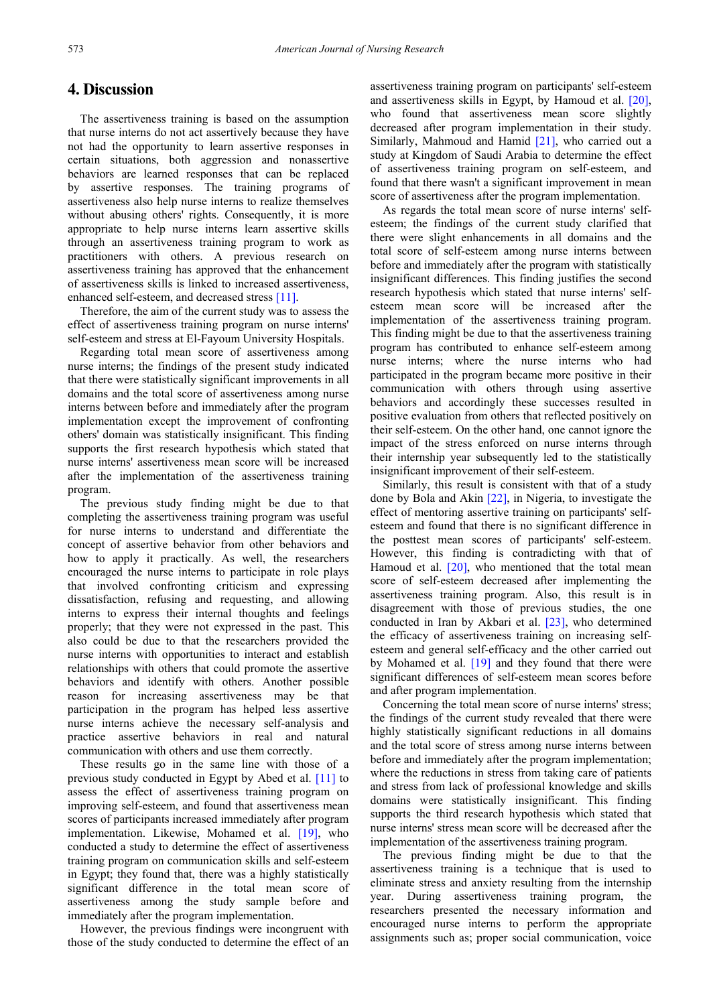# **4. Discussion**

The assertiveness training is based on the assumption that nurse interns do not act assertively because they have not had the opportunity to learn assertive responses in certain situations, both aggression and nonassertive behaviors are learned responses that can be replaced by assertive responses. The training programs of assertiveness also help nurse interns to realize themselves without abusing others' rights. Consequently, it is more appropriate to help nurse interns learn assertive skills through an assertiveness training program to work as practitioners with others. A previous research on assertiveness training has approved that the enhancement of assertiveness skills is linked to increased assertiveness, enhanced self-esteem, and decreased stress [\[11\].](#page-7-9)

Therefore, the aim of the current study was to assess the effect of assertiveness training program on nurse interns' self-esteem and stress at El-Fayoum University Hospitals.

Regarding total mean score of assertiveness among nurse interns; the findings of the present study indicated that there were statistically significant improvements in all domains and the total score of assertiveness among nurse interns between before and immediately after the program implementation except the improvement of confronting others' domain was statistically insignificant. This finding supports the first research hypothesis which stated that nurse interns' assertiveness mean score will be increased after the implementation of the assertiveness training program.

The previous study finding might be due to that completing the assertiveness training program was useful for nurse interns to understand and differentiate the concept of assertive behavior from other behaviors and how to apply it practically. As well, the researchers encouraged the nurse interns to participate in role plays that involved confronting criticism and expressing dissatisfaction, refusing and requesting, and allowing interns to express their internal thoughts and feelings properly; that they were not expressed in the past. This also could be due to that the researchers provided the nurse interns with opportunities to interact and establish relationships with others that could promote the assertive behaviors and identify with others. Another possible reason for increasing assertiveness may be that participation in the program has helped less assertive nurse interns achieve the necessary self-analysis and practice assertive behaviors in real and natural communication with others and use them correctly.

These results go in the same line with those of a previous study conducted in Egypt by Abed et al. [\[11\]](#page-7-9) to assess the effect of assertiveness training program on improving self-esteem, and found that assertiveness mean scores of participants increased immediately after program implementation. Likewise, Mohamed et al. [\[19\],](#page-7-17) who conducted a study to determine the effect of assertiveness training program on communication skills and self-esteem in Egypt; they found that, there was a highly statistically significant difference in the total mean score of assertiveness among the study sample before and immediately after the program implementation.

However, the previous findings were incongruent with those of the study conducted to determine the effect of an assertiveness training program on participants' self-esteem and assertiveness skills in Egypt, by Hamoud et al. [\[20\],](#page-7-18) who found that assertiveness mean score slightly decreased after program implementation in their study. Similarly, Mahmoud and Hamid [\[21\],](#page-7-19) who carried out a study at Kingdom of Saudi Arabia to determine the effect of assertiveness training program on self-esteem, and found that there wasn't a significant improvement in mean score of assertiveness after the program implementation.

As regards the total mean score of nurse interns' selfesteem; the findings of the current study clarified that there were slight enhancements in all domains and the total score of self-esteem among nurse interns between before and immediately after the program with statistically insignificant differences. This finding justifies the second research hypothesis which stated that nurse interns' selfesteem mean score will be increased after the implementation of the assertiveness training program. This finding might be due to that the assertiveness training program has contributed to enhance self-esteem among nurse interns; where the nurse interns who had participated in the program became more positive in their communication with others through using assertive behaviors and accordingly these successes resulted in positive evaluation from others that reflected positively on their self-esteem. On the other hand, one cannot ignore the impact of the stress enforced on nurse interns through their internship year subsequently led to the statistically insignificant improvement of their self-esteem.

Similarly, this result is consistent with that of a study done by Bola and Akin [\[22\],](#page-7-20) in Nigeria, to investigate the effect of mentoring assertive training on participants' selfesteem and found that there is no significant difference in the posttest mean scores of participants' self-esteem. However, this finding is contradicting with that of Hamoud et al. [\[20\],](#page-7-18) who mentioned that the total mean score of self-esteem decreased after implementing the assertiveness training program. Also, this result is in disagreement with those of previous studies, the one conducted in Iran by Akbari et al. [\[23\],](#page-7-21) who determined the efficacy of assertiveness training on increasing selfesteem and general self-efficacy and the other carried out by Mohamed et al. [\[19\]](#page-7-17) and they found that there were significant differences of self-esteem mean scores before and after program implementation.

Concerning the total mean score of nurse interns' stress; the findings of the current study revealed that there were highly statistically significant reductions in all domains and the total score of stress among nurse interns between before and immediately after the program implementation; where the reductions in stress from taking care of patients and stress from lack of professional knowledge and skills domains were statistically insignificant. This finding supports the third research hypothesis which stated that nurse interns' stress mean score will be decreased after the implementation of the assertiveness training program.

The previous finding might be due to that the assertiveness training is a technique that is used to eliminate stress and anxiety resulting from the internship year. During assertiveness training program, the researchers presented the necessary information and encouraged nurse interns to perform the appropriate assignments such as; proper social communication, voice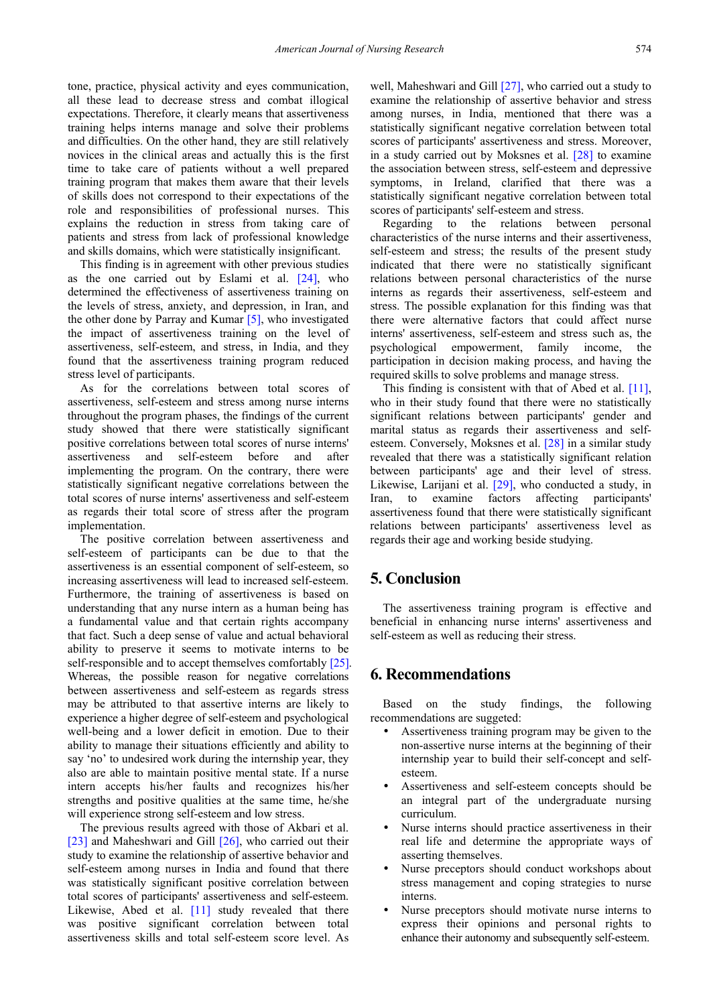tone, practice, physical activity and eyes communication, all these lead to decrease stress and combat illogical expectations. Therefore, it clearly means that assertiveness training helps interns manage and solve their problems and difficulties. On the other hand, they are still relatively novices in the clinical areas and actually this is the first time to take care of patients without a well prepared training program that makes them aware that their levels of skills does not correspond to their expectations of the role and responsibilities of professional nurses. This explains the reduction in stress from taking care of patients and stress from lack of professional knowledge and skills domains, which were statistically insignificant.

This finding is in agreement with other previous studies as the one carried out by Eslami et al. [\[24\],](#page-7-22) who determined the effectiveness of assertiveness training on the levels of stress, anxiety, and depression, in Iran, and the other done by Parray and Kumar [\[5\],](#page-7-3) who investigated the impact of assertiveness training on the level of assertiveness, self-esteem, and stress, in India, and they found that the assertiveness training program reduced stress level of participants.

As for the correlations between total scores of assertiveness, self-esteem and stress among nurse interns throughout the program phases, the findings of the current study showed that there were statistically significant positive correlations between total scores of nurse interns' assertiveness and self-esteem before and after implementing the program. On the contrary, there were statistically significant negative correlations between the total scores of nurse interns' assertiveness and self-esteem as regards their total score of stress after the program implementation.

The positive correlation between assertiveness and self-esteem of participants can be due to that the assertiveness is an essential component of self-esteem, so increasing assertiveness will lead to increased self-esteem. Furthermore, the training of assertiveness is based on understanding that any nurse intern as a human being has a fundamental value and that certain rights accompany that fact. Such a deep sense of value and actual behavioral ability to preserve it seems to motivate interns to be self-responsible and to accept themselves comfortably [\[25\].](#page-7-23) Whereas, the possible reason for negative correlations between assertiveness and self-esteem as regards stress may be attributed to that assertive interns are likely to experience a higher degree of self-esteem and psychological well-being and a lower deficit in emotion. Due to their ability to manage their situations efficiently and ability to say 'no' to undesired work during the internship year, they also are able to maintain positive mental state. If a nurse intern accepts his/her faults and recognizes his/her strengths and positive qualities at the same time, he/she will experience strong self-esteem and low stress.

The previous results agreed with those of Akbari et al. [\[23\]](#page-7-21) and Maheshwari and Gill [\[26\],](#page-7-24) who carried out their study to examine the relationship of assertive behavior and self-esteem among nurses in India and found that there was statistically significant positive correlation between total scores of participants' assertiveness and self-esteem. Likewise, Abed et al. [\[11\]](#page-7-9) study revealed that there was positive significant correlation between total assertiveness skills and total self-esteem score level. As

well, Maheshwari and Gill [\[27\],](#page-7-25) who carried out a study to examine the relationship of assertive behavior and stress among nurses, in India, mentioned that there was a statistically significant negative correlation between total scores of participants' assertiveness and stress. Moreover, in a study carried out by Moksnes et al. [\[28\]](#page-7-26) to examine the association between stress, self-esteem and depressive symptoms, in Ireland, clarified that there was a statistically significant negative correlation between total scores of participants' self-esteem and stress.

Regarding to the relations between personal characteristics of the nurse interns and their assertiveness, self-esteem and stress; the results of the present study indicated that there were no statistically significant relations between personal characteristics of the nurse interns as regards their assertiveness, self-esteem and stress. The possible explanation for this finding was that there were alternative factors that could affect nurse interns' assertiveness, self-esteem and stress such as, the psychological empowerment, family income, the participation in decision making process, and having the required skills to solve problems and manage stress.

This finding is consistent with that of Abed et al. [\[11\],](#page-7-9) who in their study found that there were no statistically significant relations between participants' gender and marital status as regards their assertiveness and selfesteem. Conversely, Moksnes et al. [\[28\]](#page-7-26) in a similar study revealed that there was a statistically significant relation between participants' age and their level of stress. Likewise, Larijani et al. [\[29\],](#page-7-27) who conducted a study, in Iran, to examine factors affecting participants' assertiveness found that there were statistically significant relations between participants' assertiveness level as regards their age and working beside studying.

# **5. Conclusion**

The assertiveness training program is effective and beneficial in enhancing nurse interns' assertiveness and self-esteem as well as reducing their stress.

# **6. Recommendations**

Based on the study findings, the following recommendations are suggeted:

- Assertiveness training program may be given to the non-assertive nurse interns at the beginning of their internship year to build their self-concept and selfesteem.
- Assertiveness and self-esteem concepts should be an integral part of the undergraduate nursing curriculum.
- Nurse interns should practice assertiveness in their real life and determine the appropriate ways of asserting themselves.
- Nurse preceptors should conduct workshops about stress management and coping strategies to nurse interns.
- Nurse preceptors should motivate nurse interns to express their opinions and personal rights to enhance their autonomy and subsequently self-esteem.